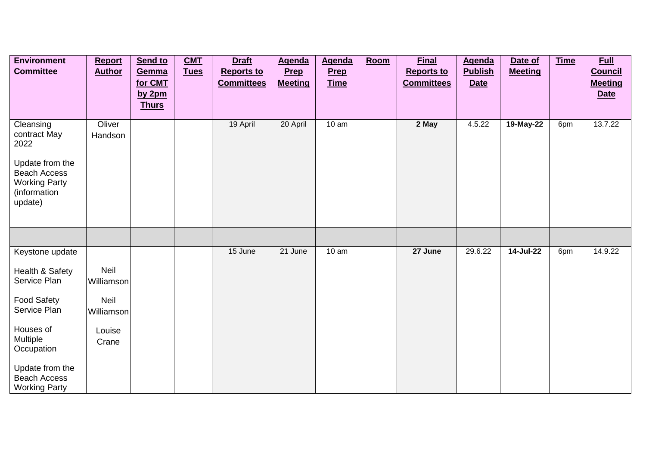| <b>Environment</b>                          | <b>Report</b>     | Send to      | CMT         | <b>Draft</b>      | <b>Agenda</b>  | <b>Agenda</b> | Room | <b>Final</b>      | <b>Agenda</b>  | Date of        | <b>Time</b> | <b>Full</b>    |
|---------------------------------------------|-------------------|--------------|-------------|-------------------|----------------|---------------|------|-------------------|----------------|----------------|-------------|----------------|
| <b>Committee</b>                            | <b>Author</b>     | Gemma        | <b>Tues</b> | <b>Reports to</b> | Prep           | Prep          |      | <b>Reports to</b> | <b>Publish</b> | <b>Meeting</b> |             | <b>Council</b> |
|                                             |                   | for CMT      |             | <b>Committees</b> | <b>Meeting</b> | <b>Time</b>   |      | <b>Committees</b> | <b>Date</b>    |                |             | <b>Meeting</b> |
|                                             |                   | by $2pm$     |             |                   |                |               |      |                   |                |                |             | <b>Date</b>    |
|                                             |                   | <b>Thurs</b> |             |                   |                |               |      |                   |                |                |             |                |
| Cleansing<br>contract May                   | Oliver<br>Handson |              |             | 19 April          | 20 April       | 10 am         |      | 2 May             | 4.5.22         | 19-May-22      | 6pm         | 13.7.22        |
| 2022                                        |                   |              |             |                   |                |               |      |                   |                |                |             |                |
| Update from the<br><b>Beach Access</b>      |                   |              |             |                   |                |               |      |                   |                |                |             |                |
| <b>Working Party</b><br>(information        |                   |              |             |                   |                |               |      |                   |                |                |             |                |
| update)                                     |                   |              |             |                   |                |               |      |                   |                |                |             |                |
|                                             |                   |              |             |                   |                |               |      |                   |                |                |             |                |
|                                             |                   |              |             |                   |                |               |      |                   |                |                |             |                |
| Keystone update                             |                   |              |             | 15 June           | 21 June        | 10 am         |      | 27 June           | 29.6.22        | 14-Jul-22      | 6pm         | 14.9.22        |
| Health & Safety                             | Neil              |              |             |                   |                |               |      |                   |                |                |             |                |
| Service Plan                                | Williamson        |              |             |                   |                |               |      |                   |                |                |             |                |
| <b>Food Safety</b>                          | Neil              |              |             |                   |                |               |      |                   |                |                |             |                |
| Service Plan                                | Williamson        |              |             |                   |                |               |      |                   |                |                |             |                |
| Houses of                                   | Louise            |              |             |                   |                |               |      |                   |                |                |             |                |
| Multiple<br>Occupation                      | Crane             |              |             |                   |                |               |      |                   |                |                |             |                |
| Update from the                             |                   |              |             |                   |                |               |      |                   |                |                |             |                |
| <b>Beach Access</b><br><b>Working Party</b> |                   |              |             |                   |                |               |      |                   |                |                |             |                |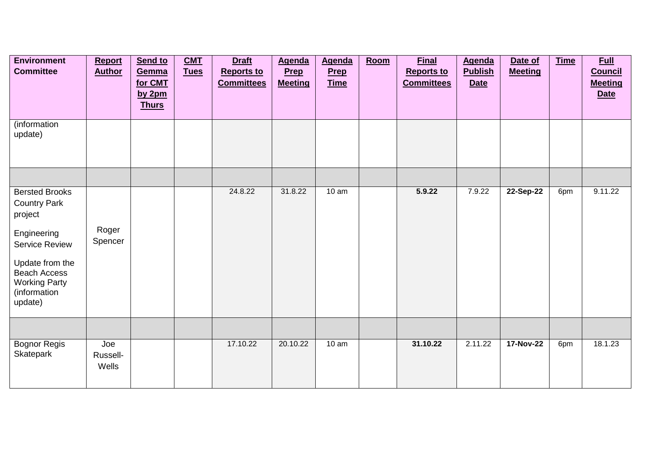| <b>Environment</b><br><b>Committee</b>                                                                                                                                                       | <b>Report</b><br><b>Author</b> | Send to<br>Gemma<br>for CMT<br>by $2pm$<br><b>Thurs</b> | <b>CMT</b><br><b>Tues</b> | <b>Draft</b><br><b>Reports to</b><br><b>Committees</b> | <b>Agenda</b><br><b>Prep</b><br><b>Meeting</b> | <b>Agenda</b><br><b>Prep</b><br><b>Time</b> | Room | <b>Final</b><br><b>Reports to</b><br><b>Committees</b> | <b>Agenda</b><br><b>Publish</b><br><b>Date</b> | Date of<br><b>Meeting</b> | <b>Time</b> | <b>Full</b><br><b>Council</b><br><b>Meeting</b><br><b>Date</b> |
|----------------------------------------------------------------------------------------------------------------------------------------------------------------------------------------------|--------------------------------|---------------------------------------------------------|---------------------------|--------------------------------------------------------|------------------------------------------------|---------------------------------------------|------|--------------------------------------------------------|------------------------------------------------|---------------------------|-------------|----------------------------------------------------------------|
| (information<br>update)                                                                                                                                                                      |                                |                                                         |                           |                                                        |                                                |                                             |      |                                                        |                                                |                           |             |                                                                |
| <b>Bersted Brooks</b><br><b>Country Park</b><br>project<br>Engineering<br><b>Service Review</b><br>Update from the<br><b>Beach Access</b><br><b>Working Party</b><br>(information<br>update) | Roger<br>Spencer               |                                                         |                           | 24.8.22                                                | 31.8.22                                        | 10 am                                       |      | 5.9.22                                                 | 7.9.22                                         | 22-Sep-22                 | 6pm         | 9.11.22                                                        |
| <b>Bognor Regis</b><br>Skatepark                                                                                                                                                             | Joe<br>Russell-<br>Wells       |                                                         |                           | 17.10.22                                               | 20.10.22                                       | 10 am                                       |      | 31.10.22                                               | 2.11.22                                        | 17-Nov-22                 | 6pm         | 18.1.23                                                        |